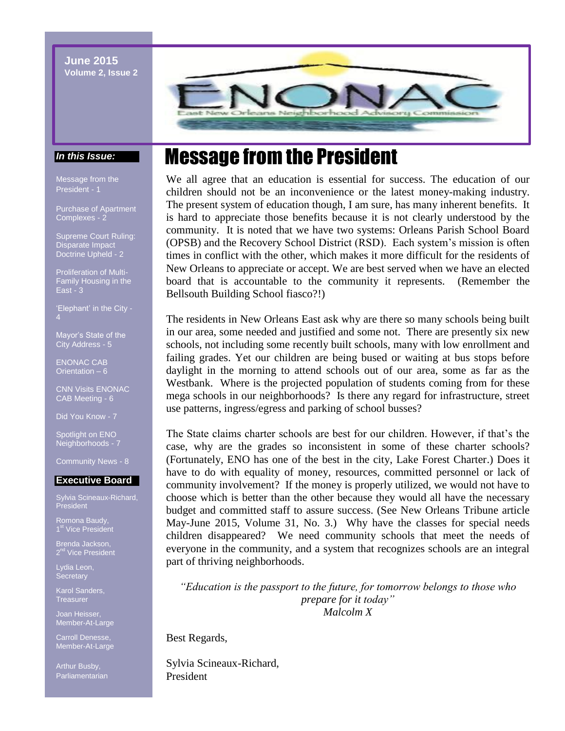**June 2015 Volume 2, Issue 2**



#### *In this Issue:*

Message from the President - 1

Purchase of Apartment Complexes - 2

Supreme Court Ruling: Disparate Impact Doctrine Upheld - 2

Proliferation of Multi-Family Housing in the East -  $3$ 

'Elephant' in the City - 4

Mayor's State of the City Address - 5

ENONAC CAB Orientation – 6

CNN Visits ENONAC CAB Meeting - 6

Did You Know - 7

Spotlight on ENO Neighborhoods - 7

Community News - 8

#### **Executive Board**

Sylvia Scineaux-Richard, President

Romona Baudy,

Brenda Jackson,

Lydia Leon,

Karol Sanders, **Treasurer** 

Joan Heisser, Member-At-Large

Carroll Denesse, Member-At-Large

Arthur Busby, Parliamentarian

# Message from the President

We all agree that an education is essential for success. The education of our children should not be an inconvenience or the latest money-making industry. The present system of education though, I am sure, has many inherent benefits. It is hard to appreciate those benefits because it is not clearly understood by the community. It is noted that we have two systems: Orleans Parish School Board (OPSB) and the Recovery School District (RSD). Each system's mission is often times in conflict with the other, which makes it more difficult for the residents of New Orleans to appreciate or accept. We are best served when we have an elected board that is accountable to the community it represents. (Remember the Bellsouth Building School fiasco?!)

The residents in New Orleans East ask why are there so many schools being built in our area, some needed and justified and some not. There are presently six new schools, not including some recently built schools, many with low enrollment and failing grades. Yet our children are being bused or waiting at bus stops before daylight in the morning to attend schools out of our area, some as far as the Westbank. Where is the projected population of students coming from for these mega schools in our neighborhoods? Is there any regard for infrastructure, street use patterns, ingress/egress and parking of school busses?

The State claims charter schools are best for our children. However, if that's the case, why are the grades so inconsistent in some of these charter schools? (Fortunately, ENO has one of the best in the city, Lake Forest Charter.) Does it have to do with equality of money, resources, committed personnel or lack of community involvement? If the money is properly utilized, we would not have to choose which is better than the other because they would all have the necessary budget and committed staff to assure success. (See New Orleans Tribune article May-June 2015, Volume 31, No. 3.) Why have the classes for special needs children disappeared? We need community schools that meet the needs of everyone in the community, and a system that recognizes schools are an integral part of thriving neighborhoods.

*"Education is the passport to the future, for tomorrow belongs to those who prepare for it today" Malcolm X*

Best Regards,

Sylvia Scineaux-Richard, President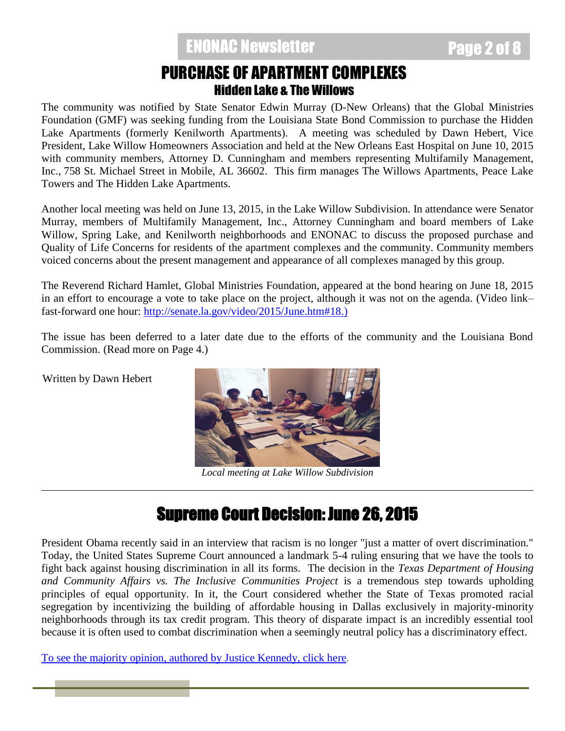### PURCHASE OF APARTMENT COMPLEXES Hidden Lake & The Willows

The community was notified by State Senator Edwin Murray (D-New Orleans) that the Global Ministries Foundation (GMF) was seeking funding from the Louisiana State Bond Commission to purchase the Hidden Lake Apartments (formerly Kenilworth Apartments). A meeting was scheduled by Dawn Hebert, Vice President, Lake Willow Homeowners Association and held at the New Orleans East Hospital on June 10, 2015 with community members, Attorney D. Cunningham and members representing Multifamily Management, Inc., 758 St. Michael Street in Mobile, AL 36602. This firm manages The Willows Apartments, Peace Lake Towers and The Hidden Lake Apartments.

Another local meeting was held on June 13, 2015, in the Lake Willow Subdivision. In attendance were Senator Murray, members of Multifamily Management, Inc., Attorney Cunningham and board members of Lake Willow, Spring Lake, and Kenilworth neighborhoods and ENONAC to discuss the proposed purchase and Quality of Life Concerns for residents of the apartment complexes and the community. Community members voiced concerns about the present management and appearance of all complexes managed by this group.

The Reverend Richard Hamlet, Global Ministries Foundation, appeared at the bond hearing on June 18, 2015 in an effort to encourage a vote to take place on the project, although it was not on the agenda. (Video link– fast-forward one hour: [http://senate.la.gov/video/2015/June.htm#18.](http://senate.la.gov/video/2015/June.htm#18))

The issue has been deferred to a later date due to the efforts of the community and the Louisiana Bond Commission. (Read more on Page 4.)

Written by Dawn Hebert



*Local meeting at Lake Willow Subdivision*

## Supreme Court Decision: June 26, 2015

President Obama recently said in an interview that racism is no longer "just a matter of overt discrimination." Today, the United States Supreme Court announced a landmark 5-4 ruling ensuring that we have the tools to fight back against housing discrimination in all its forms. The decision in the *Texas Department of Housing and Community Affairs vs. The Inclusive Communities Project* is a tremendous step towards upholding principles of equal opportunity. In it, the Court considered whether the State of Texas promoted racial segregation by incentivizing the building of affordable housing in Dallas exclusively in majority-minority neighborhoods through its tax credit program. This theory of disparate impact is an incredibly essential tool because it is often used to combat discrimination when a seemingly neutral policy has a discriminatory effect.

[To see the majority opinion, authored by Justice Kennedy, click here.](http://org2.salsalabs.com/dia/track.jsp?v=2&c=aj7uPiNFV4P%2BscpCmePLYD19LcCrVso6)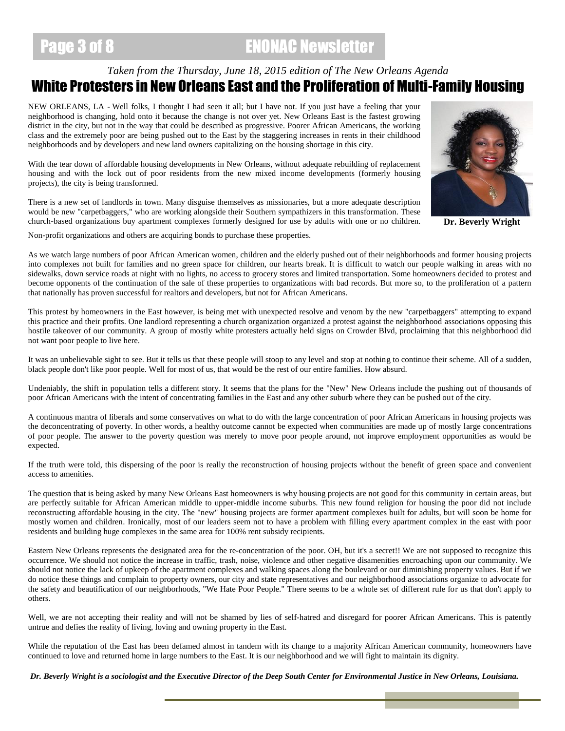# Page 3 of 8 ENONAC Newsletter

### *Taken from the Thursday, June 18, 2015 edition of The New Orleans Agenda* White Protesters in New Orleans East and the Proliferation of Multi-Family Housing

NEW ORLEANS, LA - Well folks, I thought I had seen it all; but I have not. If you just have a feeling that your neighborhood is changing, hold onto it because the change is not over yet. New Orleans East is the fastest growing district in the city, but not in the way that could be described as progressive. Poorer African Americans, the working class and the extremely poor are being pushed out to the East by the staggering increases in rents in their childhood neighborhoods and by developers and new land owners capitalizing on the housing shortage in this city.

With the tear down of affordable housing developments in New Orleans, without adequate rebuilding of replacement housing and with the lock out of poor residents from the new mixed income developments (formerly housing projects), the city is being transformed.

There is a new set of landlords in town. Many disguise themselves as missionaries, but a more adequate description would be new "carpetbaggers," who are working alongside their Southern sympathizers in this transformation. These church-based organizations buy apartment complexes formerly designed for use by adults with one or no children. **Dr. Beverly Wright**

Non-profit organizations and others are acquiring bonds to purchase these properties.

As we watch large numbers of poor African American women, children and the elderly pushed out of their neighborhoods and former housing projects into complexes not built for families and no green space for children, our hearts break. It is difficult to watch our people walking in areas with no sidewalks, down service roads at night with no lights, no access to grocery stores and limited transportation. Some homeowners decided to protest and become opponents of the continuation of the sale of these properties to organizations with bad records. But more so, to the proliferation of a pattern that nationally has proven successful for realtors and developers, but not for African Americans.

This protest by homeowners in the East however, is being met with unexpected resolve and venom by the new "carpetbaggers" attempting to expand this practice and their profits. One landlord representing a church organization organized a protest against the neighborhood associations opposing this hostile takeover of our community. A group of mostly white protesters actually held signs on Crowder Blvd, proclaiming that this neighborhood did not want poor people to live here.

It was an unbelievable sight to see. But it tells us that these people will stoop to any level and stop at nothing to continue their scheme. All of a sudden, black people don't like poor people. Well for most of us, that would be the rest of our entire families. How absurd.

Undeniably, the shift in population tells a different story. It seems that the plans for the "New" New Orleans include the pushing out of thousands of poor African Americans with the intent of concentrating families in the East and any other suburb where they can be pushed out of the city.

A continuous mantra of liberals and some conservatives on what to do with the large concentration of poor African Americans in housing projects was the deconcentrating of poverty. In other words, a healthy outcome cannot be expected when communities are made up of mostly large concentrations of poor people. The answer to the poverty question was merely to move poor people around, not improve employment opportunities as would be expected.

If the truth were told, this dispersing of the poor is really the reconstruction of housing projects without the benefit of green space and convenient access to amenities.

The question that is being asked by many New Orleans East homeowners is why housing projects are not good for this community in certain areas, but are perfectly suitable for African American middle to upper-middle income suburbs. This new found religion for housing the poor did not include reconstructing affordable housing in the city. The "new" housing projects are former apartment complexes built for adults, but will soon be home for mostly women and children. Ironically, most of our leaders seem not to have a problem with filling every apartment complex in the east with poor residents and building huge complexes in the same area for 100% rent subsidy recipients.

Eastern New Orleans represents the designated area for the re-concentration of the poor. OH, but it's a secret!! We are not supposed to recognize this occurrence. We should not notice the increase in traffic, trash, noise, violence and other negative disamenities encroaching upon our community. We should not notice the lack of upkeep of the apartment complexes and walking spaces along the boulevard or our diminishing property values. But if we do notice these things and complain to property owners, our city and state representatives and our neighborhood associations organize to advocate for the safety and beautification of our neighborhoods, "We Hate Poor People." There seems to be a whole set of different rule for us that don't apply to others.

Well, we are not accepting their reality and will not be shamed by lies of self-hatred and disregard for poorer African Americans. This is patently untrue and defies the reality of living, loving and owning property in the East.

While the reputation of the East has been defamed almost in tandem with its change to a majority African American community, homeowners have continued to love and returned home in large numbers to the East. It is our neighborhood and we will fight to maintain its dignity.

*Dr. Beverly Wright is a sociologist and the Executive Director of the Deep South Center for Environmental Justice in New Orleans, Louisiana.*

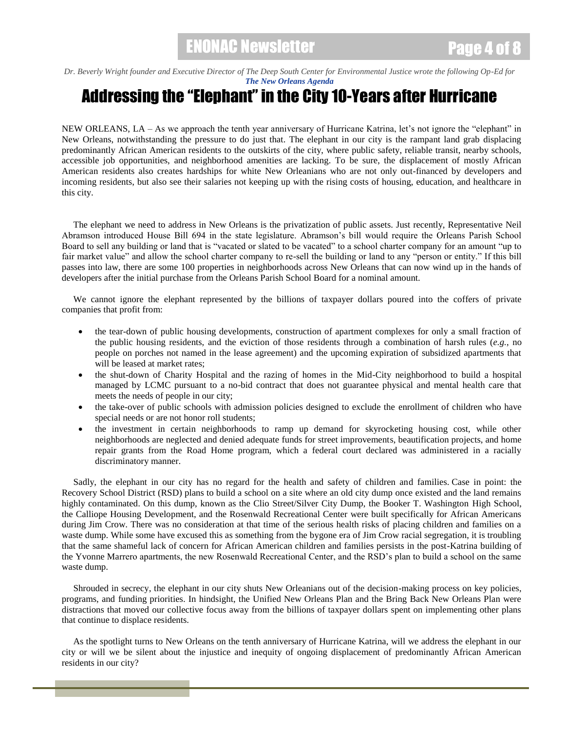#### *Dr. Beverly Wright founder and Executive Director of The Deep South Center for Environmental Justice wrote the following Op-Ed for [The New Orleans Agenda](http://www.neworleansagenda.com/)*

# Addressing the "Elephant" in the City 10-Years after Hurricane

NEW ORLEANS, LA – As we approach the tenth year anniversary of Hurricane Katrina, let's not ignore the "elephant" in New Orleans, notwithstanding the pressure to do just that. The elephant in our city is the rampant land grab displacing predominantly African American residents to the outskirts of the city, where public safety, reliable transit, nearby schools, accessible job opportunities, and neighborhood amenities are lacking. To be sure, the displacement of mostly African American residents also creates hardships for white New Orleanians who are not only out-financed by developers and incoming residents, but also see their salaries not keeping up with the rising costs of housing, education, and healthcare in this city.

 The elephant we need to address in New Orleans is the privatization of public assets. Just recently, Representative Neil Abramson introduced House Bill 694 in the state legislature. Abramson's bill would require the Orleans Parish School Board to sell any building or land that is "vacated or slated to be vacated" to a school charter company for an amount "up to fair market value" and allow the school charter company to re-sell the building or land to any "person or entity." If this bill passes into law, there are some 100 properties in neighborhoods across New Orleans that can now wind up in the hands of developers after the initial purchase from the Orleans Parish School Board for a nominal amount.

 We cannot ignore the elephant represented by the billions of taxpayer dollars poured into the coffers of private companies that profit from:

- the tear-down of public housing developments, construction of apartment complexes for only a small fraction of the public housing residents, and the eviction of those residents through a combination of harsh rules (*e.g.*, no people on porches not named in the lease agreement) and the upcoming expiration of subsidized apartments that will be leased at market rates;
- the shut-down of Charity Hospital and the razing of homes in the Mid-City neighborhood to build a hospital managed by LCMC pursuant to a no-bid contract that does not guarantee physical and mental health care that meets the needs of people in our city;
- the take-over of public schools with admission policies designed to exclude the enrollment of children who have special needs or are not honor roll students;
- the investment in certain neighborhoods to ramp up demand for skyrocketing housing cost, while other neighborhoods are neglected and denied adequate funds for street improvements, beautification projects, and home repair grants from the Road Home program, which a federal court declared was administered in a racially discriminatory manner.

 Sadly, the elephant in our city has no regard for the health and safety of children and families. Case in point: the Recovery School District (RSD) plans to build a school on a site where an old city dump once existed and the land remains highly contaminated. On this dump, known as the Clio Street/Silver City Dump, the Booker T. Washington High School, the Calliope Housing Development, and the Rosenwald Recreational Center were built specifically for African Americans during Jim Crow. There was no consideration at that time of the serious health risks of placing children and families on a waste dump. While some have excused this as something from the bygone era of Jim Crow racial segregation, it is troubling that the same shameful lack of concern for African American children and families persists in the post-Katrina building of the Yvonne Marrero apartments, the new Rosenwald Recreational Center, and the RSD's plan to build a school on the same waste dump.

 Shrouded in secrecy, the elephant in our city shuts New Orleanians out of the decision-making process on key policies, programs, and funding priorities. In hindsight, the Unified New Orleans Plan and the Bring Back New Orleans Plan were distractions that moved our collective focus away from the billions of taxpayer dollars spent on implementing other plans that continue to displace residents.

 As the spotlight turns to New Orleans on the tenth anniversary of Hurricane Katrina, will we address the elephant in our city or will we be silent about the injustice and inequity of ongoing displacement of predominantly African American residents in our city?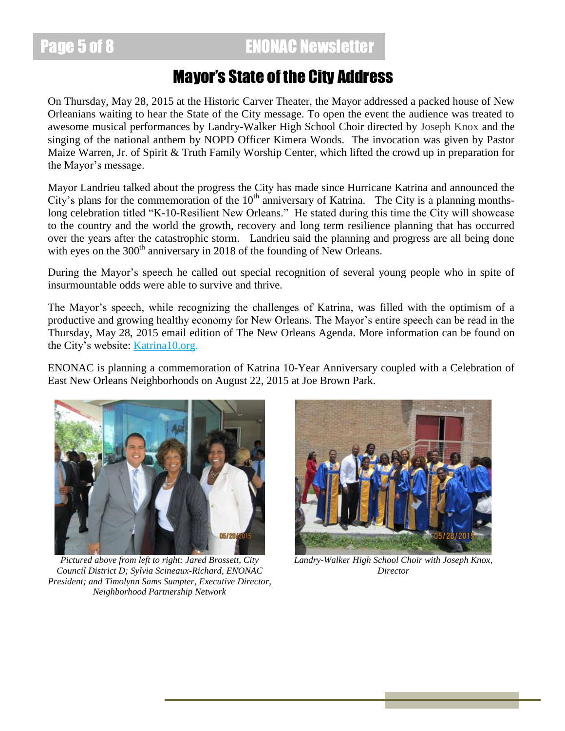Page 5 of 8 **ENONAC Newsletter** 

## Mayor's State of the City Address

On Thursday, May 28, 2015 at the Historic Carver Theater, the Mayor addressed a packed house of New Orleanians waiting to hear the State of the City message. To open the event the audience was treated to awesome musical performances by Landry-Walker High School Choir directed by Joseph Knox and the singing of the national anthem by NOPD Officer Kimera Woods. The invocation was given by Pastor Maize Warren, Jr. of Spirit & Truth Family Worship Center, which lifted the crowd up in preparation for the Mayor's message.

Mayor Landrieu talked about the progress the City has made since Hurricane Katrina and announced the City's plans for the commemoration of the  $10<sup>th</sup>$  anniversary of Katrina. The City is a planning monthslong celebration titled "K-10-Resilient New Orleans." He stated during this time the City will showcase to the country and the world the growth, recovery and long term resilience planning that has occurred over the years after the catastrophic storm. Landrieu said the planning and progress are all being done with eyes on the 300<sup>th</sup> anniversary in 2018 of the founding of New Orleans.

During the Mayor's speech he called out special recognition of several young people who in spite of insurmountable odds were able to survive and thrive.

The Mayor's speech, while recognizing the challenges of Katrina, was filled with the optimism of a productive and growing healthy economy for New Orleans. The Mayor's entire speech can be read in the Thursday, May 28, 2015 email edition of The New Orleans Agenda. More information can be found on the City's website: **Katrina10.org**.

ENONAC is planning a commemoration of Katrina 10-Year Anniversary coupled with a Celebration of East New Orleans Neighborhoods on August 22, 2015 at Joe Brown Park.



*Pictured above from left to right: Jared Brossett, City Council District D; Sylvia Scineaux-Richard, ENONAC President; and Timolynn Sams Sumpter, Executive Director, Neighborhood Partnership Network*



*Landry-Walker High School Choir with Joseph Knox, Director*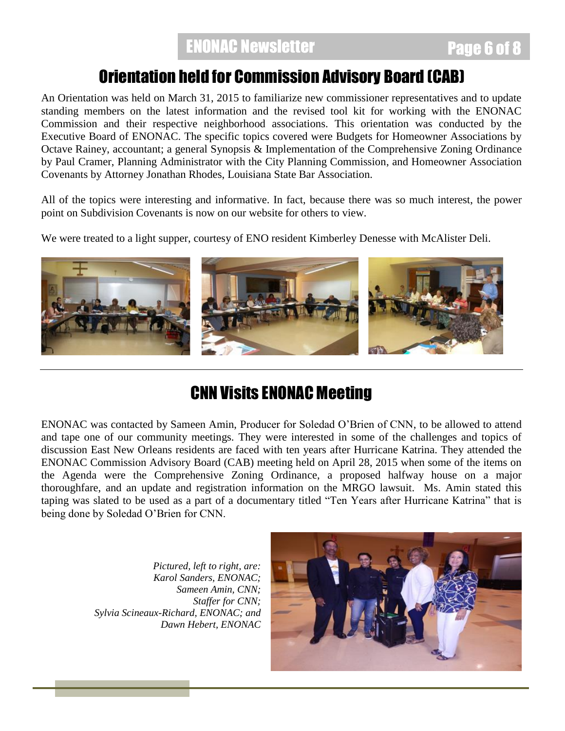## Orientation held for Commission Advisory Board (CAB)

An Orientation was held on March 31, 2015 to familiarize new commissioner representatives and to update standing members on the latest information and the revised tool kit for working with the ENONAC Commission and their respective neighborhood associations. This orientation was conducted by the Executive Board of ENONAC. The specific topics covered were Budgets for Homeowner Associations by Octave Rainey, accountant; a general Synopsis & Implementation of the Comprehensive Zoning Ordinance by Paul Cramer, Planning Administrator with the City Planning Commission, and Homeowner Association Covenants by Attorney Jonathan Rhodes, Louisiana State Bar Association.

All of the topics were interesting and informative. In fact, because there was so much interest, the power point on Subdivision Covenants is now on our website for others to view.

We were treated to a light supper, courtesy of ENO resident Kimberley Denesse with McAlister Deli.



# CNN Visits ENONAC Meeting

ENONAC was contacted by Sameen Amin, Producer for Soledad O'Brien of CNN, to be allowed to attend and tape one of our community meetings. They were interested in some of the challenges and topics of discussion East New Orleans residents are faced with ten years after Hurricane Katrina. They attended the ENONAC Commission Advisory Board (CAB) meeting held on April 28, 2015 when some of the items on the Agenda were the Comprehensive Zoning Ordinance, a proposed halfway house on a major thoroughfare, and an update and registration information on the MRGO lawsuit. Ms. Amin stated this taping was slated to be used as a part of a documentary titled "Ten Years after Hurricane Katrina" that is being done by Soledad O'Brien for CNN.

> *Pictured, left to right, are: Karol Sanders, ENONAC; Sameen Amin, CNN; Staffer for CNN; Sylvia Scineaux-Richard, ENONAC; and Dawn Hebert, ENONAC*

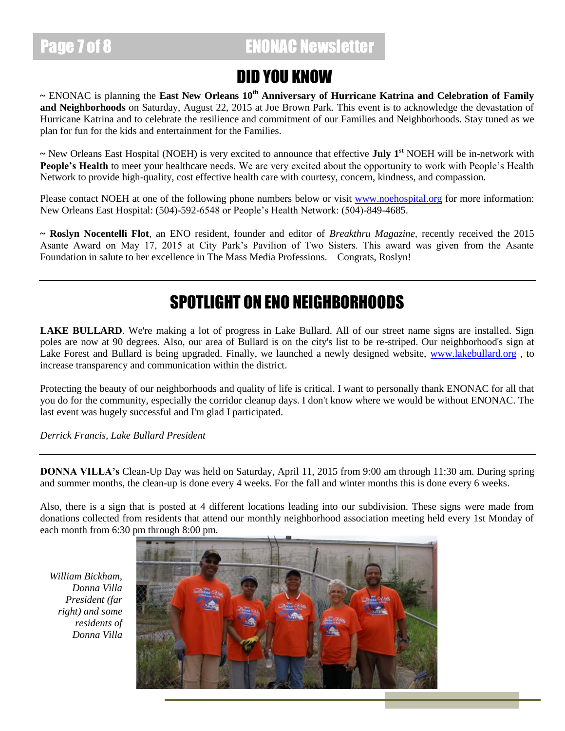## Page 7 of 8 **ENONAC Newsletter**

## DID YOU KNOW

**~** ENONAC is planning the **East New Orleans 10th Anniversary of Hurricane Katrina and Celebration of Family and Neighborhoods** on Saturday, August 22, 2015 at Joe Brown Park. This event is to acknowledge the devastation of Hurricane Katrina and to celebrate the resilience and commitment of our Families and Neighborhoods. Stay tuned as we plan for fun for the kids and entertainment for the Families.

**~** New Orleans East Hospital (NOEH) is very excited to announce that effective **July 1st** NOEH will be in-network with People's Health to meet your healthcare needs. We are very excited about the opportunity to work with People's Health Network to provide high-quality, cost effective health care with courtesy, concern, kindness, and compassion.

Please contact NOEH at one of the following phone numbers below or visit [www.noehospital.org](http://www.noehospital.org/) for more information: New Orleans East Hospital: (504)-592-6548 or People's Health Network: (504)-849-4685.

**~ Roslyn Nocentelli Flot**, an ENO resident, founder and editor of *Breakthru Magazine,* recently received the 2015 Asante Award on May 17, 2015 at City Park's Pavilion of Two Sisters. This award was given from the Asante Foundation in salute to her excellence in The Mass Media Professions. Congrats, Roslyn!

# SPOTLIGHT ON ENO NEIGHBORHOODS

**LAKE BULLARD**. We're making a lot of progress in Lake Bullard. All of our street name signs are installed. Sign poles are now at 90 degrees. Also, our area of Bullard is on the city's list to be re-striped. Our neighborhood's sign at Lake Forest and Bullard is being upgraded. Finally, we launched a newly designed website, [www.lakebullard.org](http://www.lakebullard.org/), to increase transparency and communication within the district.

Protecting the beauty of our neighborhoods and quality of life is critical. I want to personally thank ENONAC for all that you do for the community, especially the corridor cleanup days. I don't know where we would be without ENONAC. The last event was hugely successful and I'm glad I participated.

*Derrick Francis, Lake Bullard President*

**DONNA VILLA's** Clean-Up Day was held on Saturday, April 11, 2015 from 9:00 am through 11:30 am. During spring and summer months, the clean-up is done every 4 weeks. For the fall and winter months this is done every 6 weeks.

Also, there is a sign that is posted at 4 different locations leading into our subdivision. These signs were made from donations collected from residents that attend our monthly neighborhood association meeting held every 1st Monday of each month from 6:30 pm through 8:00 pm.

*William Bickham, Donna Villa President (far right) and some residents of Donna Villa*